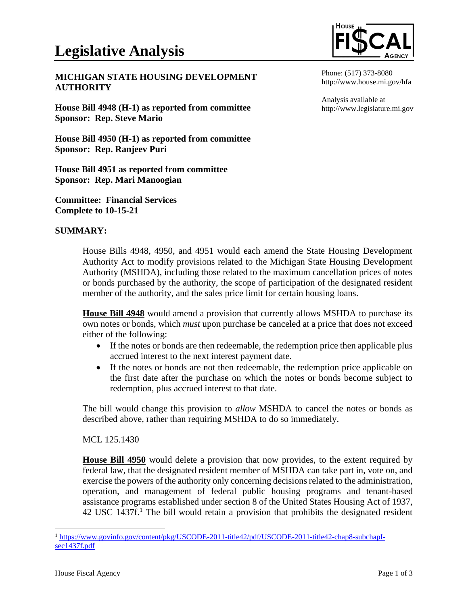## **MICHIGAN STATE HOUSING DEVELOPMENT AUTHORITY**

**House Bill 4948 (H-1) as reported from committee Sponsor: Rep. Steve Mario**

**House Bill 4950 (H-1) as reported from committee Sponsor: Rep. Ranjeev Puri**

**House Bill 4951 as reported from committee Sponsor: Rep. Mari Manoogian**

**Committee: Financial Services Complete to 10-15-21**

## **SUMMARY:**

Phone: (517) 373-8080 http://www.house.mi.gov/hfa

Analysis available at http://www.legislature.mi.gov

House Bills 4948, 4950, and 4951 would each amend the State Housing Development Authority Act to modify provisions related to the Michigan State Housing Development Authority (MSHDA), including those related to the maximum cancellation prices of notes or bonds purchased by the authority, the scope of participation of the designated resident member of the authority, and the sales price limit for certain housing loans.

**House Bill 4948** would amend a provision that currently allows MSHDA to purchase its own notes or bonds, which *must* upon purchase be canceled at a price that does not exceed either of the following:

- If the notes or bonds are then redeemable, the redemption price then applicable plus accrued interest to the next interest payment date.
- If the notes or bonds are not then redeemable, the redemption price applicable on the first date after the purchase on which the notes or bonds become subject to redemption, plus accrued interest to that date.

The bill would change this provision to *allow* MSHDA to cancel the notes or bonds as described above, rather than requiring MSHDA to do so immediately.

MCL 125.1430

**House Bill 4950** would delete a provision that now provides, to the extent required by federal law, that the designated resident member of MSHDA can take part in, vote on, and exercise the powers of the authority only concerning decisions related to the administration, operation, and management of federal public housing programs and tenant-based assistance programs established under section 8 of the United States Housing Act of 1937,  $42 \text{ USC } 1437\text{f}$ .<sup>1</sup> The bill would retain a provision that prohibits the designated resident

<sup>&</sup>lt;sup>1</sup> [https://www.govinfo.gov/content/pkg/USCODE-2011-title42/pdf/USCODE-2011-title42-chap8-subchapI](https://www.govinfo.gov/content/pkg/USCODE-2011-title42/pdf/USCODE-2011-title42-chap8-subchapI-sec1437f.pdf)[sec1437f.pdf](https://www.govinfo.gov/content/pkg/USCODE-2011-title42/pdf/USCODE-2011-title42-chap8-subchapI-sec1437f.pdf)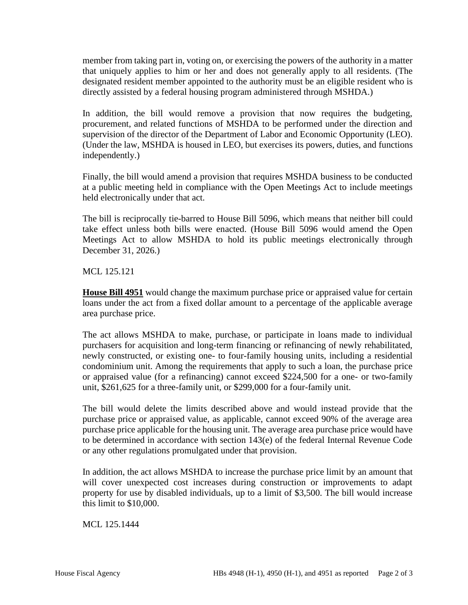member from taking part in, voting on, or exercising the powers of the authority in a matter that uniquely applies to him or her and does not generally apply to all residents. (The designated resident member appointed to the authority must be an eligible resident who is directly assisted by a federal housing program administered through MSHDA.)

In addition, the bill would remove a provision that now requires the budgeting, procurement, and related functions of MSHDA to be performed under the direction and supervision of the director of the Department of Labor and Economic Opportunity (LEO). (Under the law, MSHDA is housed in LEO, but exercises its powers, duties, and functions independently.)

Finally, the bill would amend a provision that requires MSHDA business to be conducted at a public meeting held in compliance with the Open Meetings Act to include meetings held electronically under that act.

The bill is reciprocally tie-barred to House Bill 5096, which means that neither bill could take effect unless both bills were enacted. (House Bill 5096 would amend the Open Meetings Act to allow MSHDA to hold its public meetings electronically through December 31, 2026.)

MCL 125.121

**House Bill 4951** would change the maximum purchase price or appraised value for certain loans under the act from a fixed dollar amount to a percentage of the applicable average area purchase price.

The act allows MSHDA to make, purchase, or participate in loans made to individual purchasers for acquisition and long-term financing or refinancing of newly rehabilitated, newly constructed, or existing one- to four-family housing units, including a residential condominium unit. Among the requirements that apply to such a loan, the purchase price or appraised value (for a refinancing) cannot exceed \$224,500 for a one- or two-family unit, \$261,625 for a three-family unit, or \$299,000 for a four-family unit.

The bill would delete the limits described above and would instead provide that the purchase price or appraised value, as applicable, cannot exceed 90% of the average area purchase price applicable for the housing unit. The average area purchase price would have to be determined in accordance with section 143(e) of the federal Internal Revenue Code or any other regulations promulgated under that provision.

In addition, the act allows MSHDA to increase the purchase price limit by an amount that will cover unexpected cost increases during construction or improvements to adapt property for use by disabled individuals, up to a limit of \$3,500. The bill would increase this limit to \$10,000.

MCL 125.1444